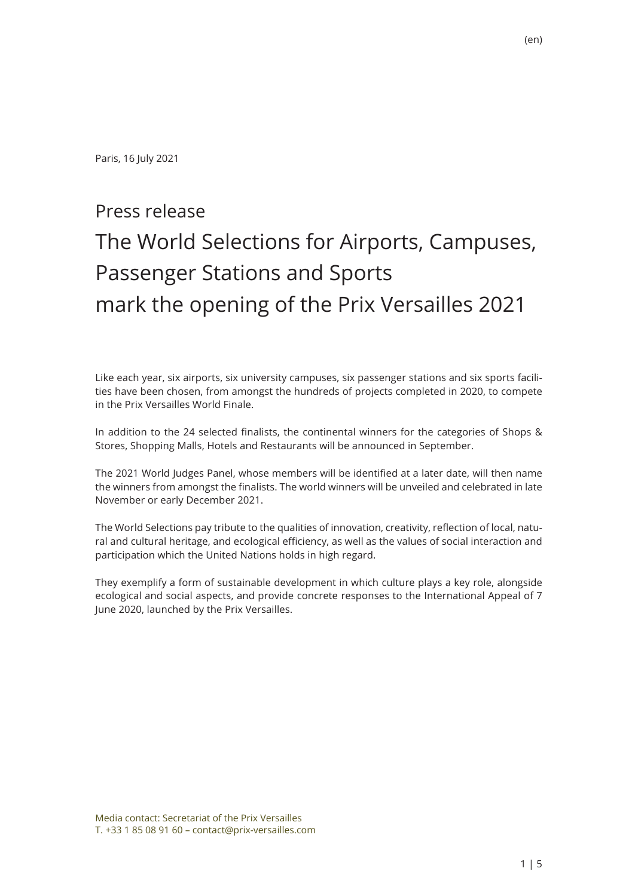Paris, 16 July 2021

# Press release

# The World Selections for Airports, Campuses, Passenger Stations and Sports mark the opening of the Prix Versailles 2021

Like each year, six airports, six university campuses, six passenger stations and six sports facilities have been chosen, from amongst the hundreds of projects completed in 2020, to compete in the Prix Versailles World Finale.

In addition to the 24 selected finalists, the continental winners for the categories of Shops & Stores, Shopping Malls, Hotels and Restaurants will be announced in September.

The 2021 World Judges Panel, whose members will be identified at a later date, will then name the winners from amongst the finalists. The world winners will be unveiled and celebrated in late November or early December 2021.

The World Selections pay tribute to the qualities of innovation, creativity, reflection of local, natural and cultural heritage, and ecological efficiency, as well as the values of social interaction and participation which the United Nations holds in high regard.

They exemplify a form of sustainable development in which culture plays a key role, alongside ecological and social aspects, and provide concrete responses to the International Appeal of 7 June 2020, launched by the Prix Versailles.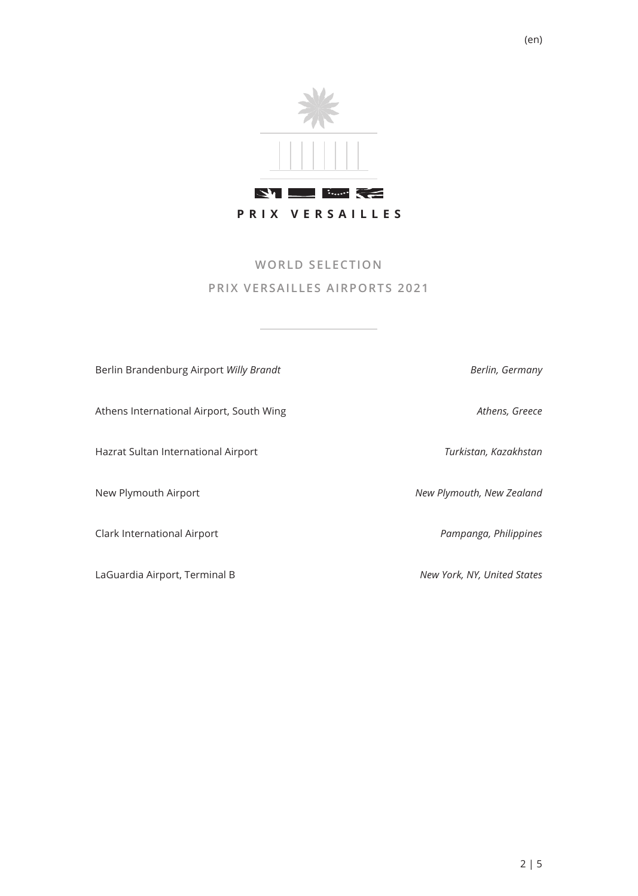

# **WORLD SELECTION PRIX VERSAILLES AIRPORTS 2021**

| Berlin Brandenburg Airport Willy Brandt  | Berlin, Germany             |
|------------------------------------------|-----------------------------|
| Athens International Airport, South Wing | Athens, Greece              |
| Hazrat Sultan International Airport      | Turkistan, Kazakhstan       |
| New Plymouth Airport                     | New Plymouth, New Zealand   |
| Clark International Airport              | Pampanga, Philippines       |
| LaGuardia Airport, Terminal B            | New York, NY, United States |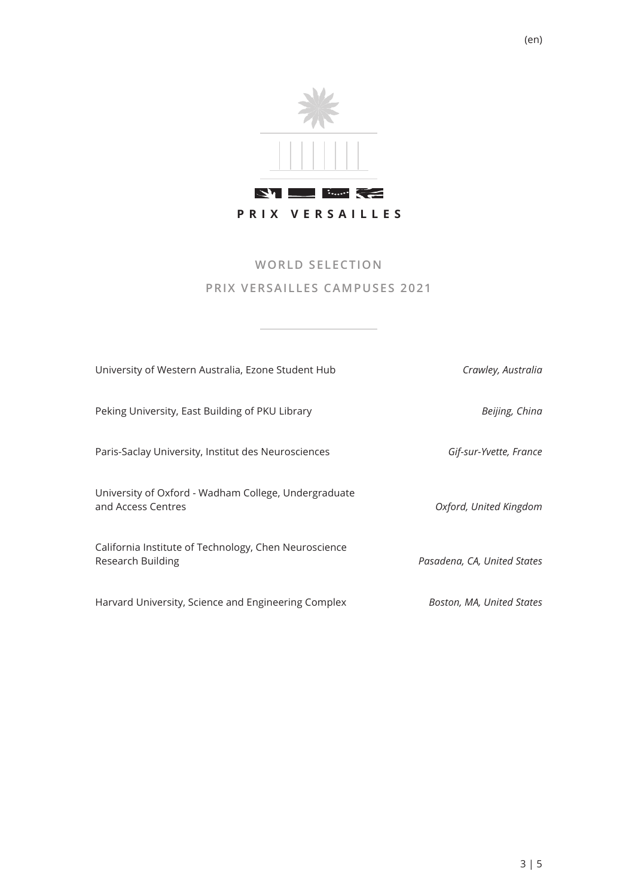

#### **WORLD SELECTION PRIX VERSAILLES CAMPUSES 2021**

| University of Western Australia, Ezone Student Hub                         | Crawley, Australia          |
|----------------------------------------------------------------------------|-----------------------------|
| Peking University, East Building of PKU Library                            | Beijing, China              |
| Paris-Saclay University, Institut des Neurosciences                        | Gif-sur-Yvette, France      |
| University of Oxford - Wadham College, Undergraduate<br>and Access Centres | Oxford, United Kingdom      |
| California Institute of Technology, Chen Neuroscience<br>Research Building | Pasadena, CA, United States |
| Harvard University, Science and Engineering Complex                        | Boston, MA, United States   |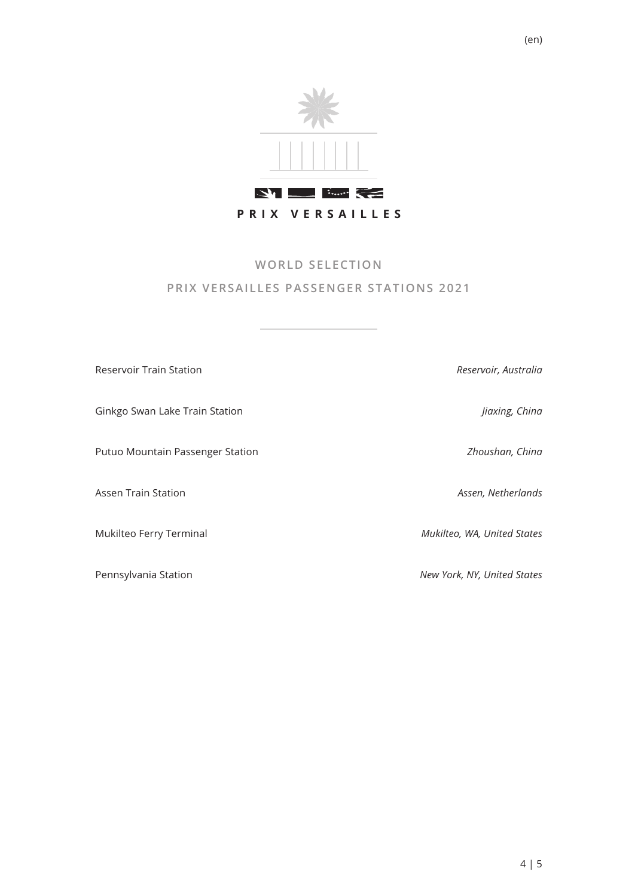

## **WORLD SELECTION PRIX VERSAILLES PASSENGER STATIONS 2021**

| <b>Reservoir Train Station</b>   | Reservoir, Australia        |
|----------------------------------|-----------------------------|
| Ginkgo Swan Lake Train Station   | Jiaxing, China              |
| Putuo Mountain Passenger Station | Zhoushan, China             |
| Assen Train Station              | Assen, Netherlands          |
| Mukilteo Ferry Terminal          | Mukilteo, WA, United States |
| Pennsylvania Station             | New York, NY, United States |

(en)